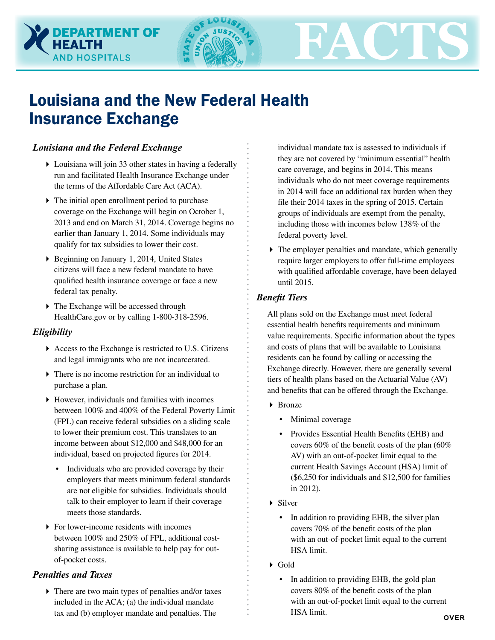# Louisiana and the New Federal Health Insurance Exchange

# *Louisiana and the Federal Exchange*

**DEPARTMENT OF** 

**HOSPITALS** 

- Louisiana will join 33 other states in having a federally run and facilitated Health Insurance Exchange under the terms of the Affordable Care Act (ACA).
- The initial open enrollment period to purchase coverage on the Exchange will begin on October 1, 2013 and end on March 31, 2014. Coverage begins no earlier than January 1, 2014. Some individuals may qualify for tax subsidies to lower their cost.
- ▶ Beginning on January 1, 2014, United States citizens will face a new federal mandate to have qualified health insurance coverage or face a new federal tax penalty.
- The Exchange will be accessed through HealthCare.gov or by calling 1-800-318-2596.

# *Eligibility*

- Access to the Exchange is restricted to U.S. Citizens and legal immigrants who are not incarcerated.
- There is no income restriction for an individual to purchase a plan.
- However, individuals and families with incomes between 100% and 400% of the Federal Poverty Limit (FPL) can receive federal subsidies on a sliding scale to lower their premium cost. This translates to an income between about \$12,000 and \$48,000 for an individual, based on projected figures for 2014.
	- Individuals who are provided coverage by their employers that meets minimum federal standards are not eligible for subsidies. Individuals should talk to their employer to learn if their coverage meets those standards.
- ▶ For lower-income residents with incomes between 100% and 250% of FPL, additional costsharing assistance is available to help pay for outof-pocket costs.

# *Penalties and Taxes*

 There are two main types of penalties and/or taxes included in the ACA; (a) the individual mandate tax and (b) employer mandate and penalties. The

individual mandate tax is assessed to individuals if they are not covered by "minimum essential" health care coverage, and begins in 2014. This means individuals who do not meet coverage requirements in 2014 will face an additional tax burden when they file their 2014 taxes in the spring of 2015. Certain groups of individuals are exempt from the penalty, including those with incomes below 138% of the federal poverty level.

**FACTS**

 $\triangleright$  The employer penalties and mandate, which generally require larger employers to offer full-time employees with qualified affordable coverage, have been delayed until 2015.

# *Benefit Tiers*

All plans sold on the Exchange must meet federal essential health benefits requirements and minimum value requirements. Specific information about the types and costs of plans that will be available to Louisiana residents can be found by calling or accessing the Exchange directly. However, there are generally several tiers of health plans based on the Actuarial Value (AV) and benefits that can be offered through the Exchange.

- ▶ Bronze
	- Minimal coverage
	- Provides Essential Health Benefits (EHB) and covers 60% of the benefit costs of the plan (60% AV) with an out-of-pocket limit equal to the current Health Savings Account (HSA) limit of (\$6,250 for individuals and \$12,500 for families in 2012).
- Silver
	- In addition to providing EHB, the silver plan covers 70% of the benefit costs of the plan with an out-of-pocket limit equal to the current HSA limit.
- Gold
	- In addition to providing EHB, the gold plan covers 80% of the benefit costs of the plan with an out-of-pocket limit equal to the current HSA limit.